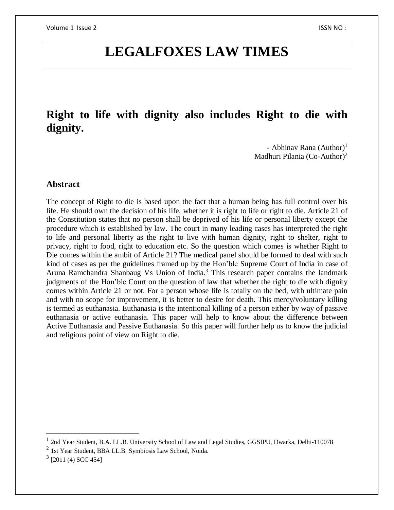# **LEGALFOXES LAW TIMES**

# **Right to life with dignity also includes Right to die with dignity.**

- Abhinav Rana  $(Author)^1$ Madhuri Pilania (Co-Author)<sup>2</sup>

#### **Abstract**

The concept of Right to die is based upon the fact that a human being has full control over his life. He should own the decision of his life, whether it is right to life or right to die. Article 21 of the Constitution states that no person shall be deprived of his life or personal liberty except the procedure which is established by law. The court in many leading cases has interpreted the right to life and personal liberty as the right to live with human dignity, right to shelter, right to privacy, right to food, right to education etc. So the question which comes is whether Right to Die comes within the ambit of Article 21? The medical panel should be formed to deal with such kind of cases as per the guidelines framed up by the Hon'ble Supreme Court of India in case of Aruna Ramchandra Shanbaug Vs Union of India.<sup>3</sup> This research paper contains the landmark judgments of the Hon'ble Court on the question of law that whether the right to die with dignity comes within Article 21 or not. For a person whose life is totally on the bed, with ultimate pain and with no scope for improvement, it is better to desire for death. This mercy/voluntary killing is termed as euthanasia. Euthanasia is the intentional killing of a person either by way of passive euthanasia or active euthanasia. This paper will help to know about the difference between Active Euthanasia and Passive Euthanasia. So this paper will further help us to know the judicial and religious point of view on Right to die.

 $\overline{a}$ 

<sup>&</sup>lt;sup>1</sup> 2nd Year Student, B.A. LL.B. University School of Law and Legal Studies, GGSIPU, Dwarka, Delhi-110078

<sup>&</sup>lt;sup>2</sup> 1st Year Student, BBA LL.B. Symbiosis Law School, Noida.

 $3$  [2011 (4) SCC 454]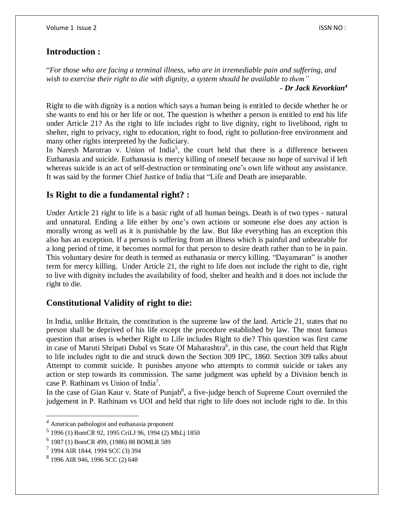#### **Introduction :**

"*For those who are facing a terminal illness, who are in irremediable pain and suffering, and wish to exercise their right to die with dignity, a system should be available to them"*

*- Dr Jack Kevorkian<sup>4</sup>*

Right to die with dignity is a notion which says a human being is entitled to decide whether he or she wants to end his or her life or not. The question is whether a person is entitled to end his life under Article 21? As the right to life includes right to live dignity, right to livelihood, right to shelter, right to privacy, right to education, right to food, right to pollution-free environment and many other rights interpreted by the Judiciary.

In Naresh Marotrao v. Union of India<sup>5</sup>, the court held that there is a difference between Euthanasia and suicide. Euthanasia is mercy killing of oneself because no hope of survival if left whereas suicide is an act of self-destruction or terminating one's own life without any assistance. It was said by the former Chief Justice of India that "Life and Death are inseparable.

## **Is Right to die a fundamental right? :**

Under Article 21 right to life is a basic right of all human beings. Death is of two types - natural and unnatural. Ending a life either by one's own actions or someone else does any action is morally wrong as well as it is punishable by the law. But like everything has an exception this also has an exception. If a person is suffering from an illness which is painful and unbearable for a long period of time, it becomes normal for that person to desire death rather than to be in pain. This voluntary desire for death is termed as euthanasia or mercy killing. "Dayamaran" is another term for mercy killing. Under Article 21, the right to life does not include the right to die, right to live with dignity includes the availability of food, shelter and health and it does not include the right to die.

#### **Constitutional Validity of right to die:**

In India, unlike Britain, the constitution is the supreme law of the land. Article 21, states that no person shall be deprived of his life except the procedure established by law. The most famous question that arises is whether Right to Life includes Right to die? This question was first came in case of Maruti Shripati Dubal vs State Of Maharashtra<sup>6</sup>, in this case, the court held that Right to life includes right to die and struck down the Section 309 IPC, 1860. Section 309 talks about Attempt to commit suicide. It punishes anyone who attempts to commit suicide or takes any action or step towards its commission. The same judgment was upheld by a Division bench in case P. Rathinam vs Union of India<sup>7</sup>.

In the case of Gian Kaur v. State of Punjab<sup>8</sup>, a five-judge bench of Supreme Court overruled the judgement in P. Rathinam vs UOI and held that right to life does not include right to die. In this

 $\overline{a}$ 

*<sup>4</sup>* American pathologist and euthanasia proponent

<sup>5</sup> 1996 (1) BomCR 92, 1995 CriLJ 96, 1994 (2) MhLj 1850

<sup>6</sup> 1987 (1) BomCR 499, (1986) 88 BOMLR 589

<sup>7</sup> 1994 AIR 1844, 1994 SCC (3) 394

<sup>8</sup> 1996 AIR 946, 1996 SCC (2) 648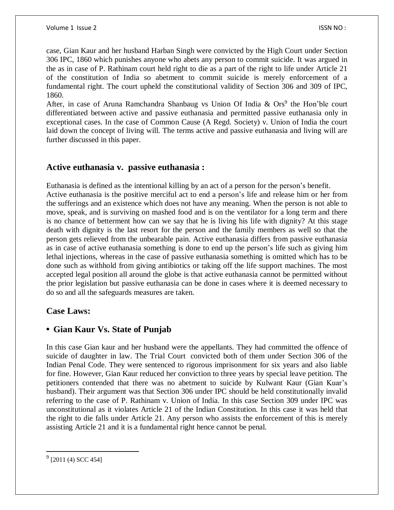case, Gian Kaur and her husband Harban Singh were convicted by the High Court under Section 306 IPC, 1860 which punishes anyone who abets any person to commit suicide. It was argued in the as in case of P. Rathinam court held right to die as a part of the right to life under Article 21 of the constitution of India so abetment to commit suicide is merely enforcement of a fundamental right. The court upheld the constitutional validity of Section 306 and 309 of IPC, 1860.

After, in case of Aruna Ramchandra Shanbaug vs Union Of India  $\&$  Ors<sup>9</sup> the Hon'ble court differentiated between active and passive euthanasia and permitted passive euthanasia only in exceptional cases. In the case of Common Cause (A Regd. Society) v. Union of India the court laid down the concept of living will. The terms active and passive euthanasia and living will are further discussed in this paper.

#### **Active euthanasia v. passive euthanasia :**

Euthanasia is defined as the intentional killing by an act of a person for the person's benefit. Active euthanasia is the positive merciful act to end a person's life and release him or her from the sufferings and an existence which does not have any meaning. When the person is not able to move, speak, and is surviving on mashed food and is on the ventilator for a long term and there is no chance of betterment how can we say that he is living his life with dignity? At this stage death with dignity is the last resort for the person and the family members as well so that the person gets relieved from the unbearable pain. Active euthanasia differs from passive euthanasia as in case of active euthanasia something is done to end up the person's life such as giving him lethal injections, whereas in the case of passive euthanasia something is omitted which has to be done such as withhold from giving antibiotics or taking off the life support machines. The most accepted legal position all around the globe is that active euthanasia cannot be permitted without the prior legislation but passive euthanasia can be done in cases where it is deemed necessary to do so and all the safeguards measures are taken.

# **Case Laws:**

# **• Gian Kaur Vs. State of Punjab**

In this case Gian kaur and her husband were the appellants. They had committed the offence of suicide of daughter in law. The Trial Court convicted both of them under Section 306 of the Indian Penal Code. They were sentenced to rigorous imprisonment for six years and also liable for fine. However, Gian Kaur reduced her conviction to three years by special leave petition. The petitioners contended that there was no abetment to suicide by Kulwant Kaur (Gian Kuar's husband). Their argument was that Section 306 under IPC should be held constitutionally invalid referring to the case of P. Rathinam v. Union of India. In this case Section 309 under IPC was unconstitutional as it violates Article 21 of the Indian Constitution. In this case it was held that the right to die falls under Article 21. Any person who assists the enforcement of this is merely assisting Article 21 and it is a fundamental right hence cannot be penal.

 $\overline{\phantom{a}}$ 

 $^{9}$  [2011 (4) SCC 454]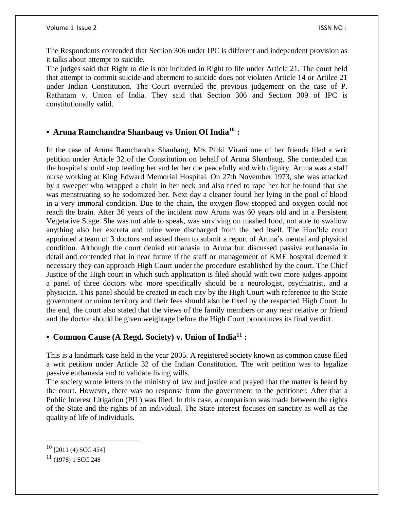The Respondents contended that Section 306 under IPC is different and independent provision as it talks about attempt to suicide.

The judges said that Right to die is not included in Right to life under Article 21. The court held that attempt to commit suicide and abetment to suicide does not violaten Article 14 or Artilce 21 under Indian Constitution. The Court overruled the previous judgement on the case of P. Rathinam v. Union of India. They said that Section 306 and Section 309 of IPC is constitutionally valid.

#### **• Aruna Ramchandra Shanbaug vs Union Of India<sup>10</sup> :**

In the case of Aruna Ramchandra Shanbaug, Mrs Pinki Virani one of her friends filed a writ petition under Article 32 of the Constitution on behalf of Aruna Shanbaug. She contended that the hospital should stop feeding her and let her die peacefully and with dignity. Aruna was a staff nurse working at King Edward Memorial Hospital. On 27th November 1973, she was attacked by a sweeper who wrapped a chain in her neck and also tried to rape her but he found that she was menstruating so he sodomized her. Next day a cleaner found her lying in the pool of blood in a very immoral condition. Due to the chain, the oxygen flow stopped and oxygen could not reach the brain. After 36 years of the incident now Aruna was 60 years old and in a Persistent Vegetative Stage. She was not able to speak, was surviving on mashed food, not able to swallow anything also her excreta and urine were discharged from the bed itself. The Hon'ble court appointed a team of 3 doctors and asked them to submit a report of Aruna's mental and physical condition. Although the court denied euthanasia to Aruna but discussed passive euthanasia in detail and contended that in near future if the staff or management of KME hospital deemed it necessary they can approach High Court under the procedure established by the court. The Chief Justice of the High court in which such application is filed should with two more judges appoint a panel of three doctors who more specifically should be a neurologist, psychiatrist, and a physician. This panel should be created in each city by the High Court with reference to the State government or union territory and their fees should also be fixed by the respected High Court. In the end, the court also stated that the views of the family members or any near relative or friend and the doctor should be given weightage before the High Court pronounces its final verdict.

#### **• Common Cause (A Regd. Society) v. Union of India<sup>11</sup> :**

This is a landmark case held in the year 2005. A registered society known as common cause filed a writ petition under Article 32 of the Indian Constitution. The writ petition was to legalize passive euthanasia and to validate living wills.

The society wrote letters to the ministry of law and justice and prayed that the matter is heard by the court. However, there was no response from the government to the petitioner. After that a Public Interest Litigation (PIL) was filed. In this case, a comparison was made between the rights of the State and the rights of an individual. The State interest focuses on sanctity as well as the quality of life of individuals.

 $\overline{a}$ 

 $10$  [2011 (4) SCC 454]

 $11$  (1978) 1 SCC 248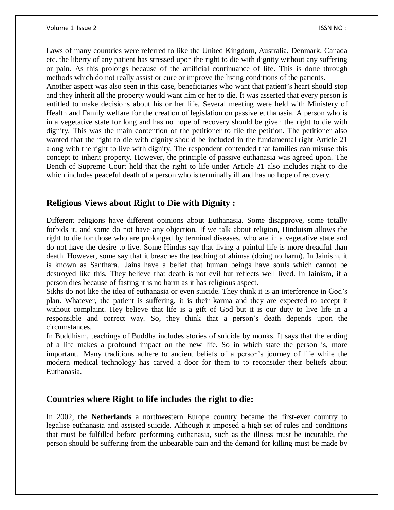Laws of many countries were referred to like the United Kingdom, Australia, Denmark, Canada etc. the liberty of any patient has stressed upon the right to die with dignity without any suffering or pain. As this prolongs because of the artificial continuance of life. This is done through methods which do not really assist or cure or improve the living conditions of the patients. Another aspect was also seen in this case, beneficiaries who want that patient's heart should stop and they inherit all the property would want him or her to die. It was asserted that every person is entitled to make decisions about his or her life. Several meeting were held with Ministery of Health and Family welfare for the creation of legislation on passive euthanasia. A person who is in a vegetative state for long and has no hope of recovery should be given the right to die with dignity. This was the main contention of the petitioner to file the petition. The petitioner also wanted that the right to die with dignity should be included in the fundamental right Article 21 along with the right to live with dignity. The respondent contended that families can misuse this concept to inherit property. However, the principle of passive euthanasia was agreed upon. The Bench of Supreme Court held that the right to life under Article 21 also includes right to die which includes peaceful death of a person who is terminally ill and has no hope of recovery.

## **Religious Views about Right to Die with Dignity :**

Different religions have different opinions about Euthanasia. Some disapprove, some totally forbids it, and some do not have any objection. If we talk about religion, Hinduism allows the right to die for those who are prolonged by terminal diseases, who are in a vegetative state and do not have the desire to live. Some Hindus say that living a painful life is more dreadful than death. However, some say that it breaches the teaching of ahimsa (doing no harm). In Jainism, it is known as Santhara. Jains have a belief that human beings have souls which cannot be destroyed like this. They believe that death is not evil but reflects well lived. In Jainism, if a person dies because of fasting it is no harm as it has religious aspect.

Sikhs do not like the idea of euthanasia or even suicide. They think it is an interference in God's plan. Whatever, the patient is suffering, it is their karma and they are expected to accept it without complaint. Hey believe that life is a gift of God but it is our duty to live life in a responsible and correct way. So, they think that a person's death depends upon the circumstances.

In Buddhism, teachings of Buddha includes stories of suicide by monks. It says that the ending of a life makes a profound impact on the new life. So in which state the person is, more important. Many traditions adhere to ancient beliefs of a person's journey of life while the modern medical technology has carved a door for them to to reconsider their beliefs about Euthanasia.

# **Countries where Right to life includes the right to die:**

In 2002, the **Netherlands** a northwestern Europe country became the first-ever country to legalise euthanasia and assisted suicide. Although it imposed a high set of rules and conditions that must be fulfilled before performing euthanasia, such as the illness must be incurable, the person should be suffering from the unbearable pain and the demand for killing must be made by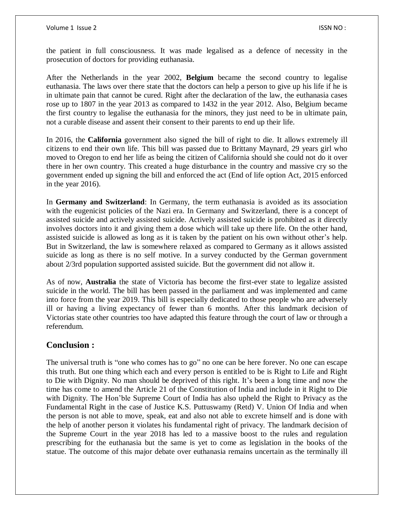the patient in full consciousness. It was made legalised as a defence of necessity in the prosecution of doctors for providing euthanasia.

After the Netherlands in the year 2002, **Belgium** became the second country to legalise euthanasia. The laws over there state that the doctors can help a person to give up his life if he is in ultimate pain that cannot be cured. Right after the declaration of the law, the euthanasia cases rose up to 1807 in the year 2013 as compared to 1432 in the year 2012. Also, Belgium became the first country to legalise the euthanasia for the minors, they just need to be in ultimate pain, not a curable disease and assent their consent to their parents to end up their life.

In 2016, the **California** government also signed the bill of right to die. It allows extremely ill citizens to end their own life. This bill was passed due to Brittany Maynard, 29 years girl who moved to Oregon to end her life as being the citizen of California should she could not do it over there in her own country. This created a huge disturbance in the country and massive cry so the government ended up signing the bill and enforced the act (End of life option Act, 2015 enforced in the year 2016).

In **Germany and Switzerland**: In Germany, the term euthanasia is avoided as its association with the eugenicist policies of the Nazi era. In Germany and Switzerland, there is a concept of assisted suicide and actively assisted suicide. Actively assisted suicide is prohibited as it directly involves doctors into it and giving them a dose which will take up there life. On the other hand, assisted suicide is allowed as long as it is taken by the patient on his own without other's help. But in Switzerland, the law is somewhere relaxed as compared to Germany as it allows assisted suicide as long as there is no self motive. In a survey conducted by the German government about 2/3rd population supported assisted suicide. But the government did not allow it.

As of now, **Australia** the state of Victoria has become the first-ever state to legalize assisted suicide in the world. The bill has been passed in the parliament and was implemented and came into force from the year 2019. This bill is especially dedicated to those people who are adversely ill or having a living expectancy of fewer than 6 months. After this landmark decision of Victorias state other countries too have adapted this feature through the court of law or through a referendum.

# **Conclusion :**

The universal truth is "one who comes has to go" no one can be here forever. No one can escape this truth. But one thing which each and every person is entitled to be is Right to Life and Right to Die with Dignity. No man should be deprived of this right. It's been a long time and now the time has come to amend the Article 21 of the Constitution of India and include in it Right to Die with Dignity. The Hon'ble Supreme Court of India has also upheld the Right to Privacy as the Fundamental Right in the case of Justice K.S. Puttuswamy (Retd) V. Union Of India and when the person is not able to move, speak, eat and also not able to excrete himself and is done with the help of another person it violates his fundamental right of privacy. The landmark decision of the Supreme Court in the year 2018 has led to a massive boost to the rules and regulation prescribing for the euthanasia but the same is yet to come as legislation in the books of the statue. The outcome of this major debate over euthanasia remains uncertain as the terminally ill